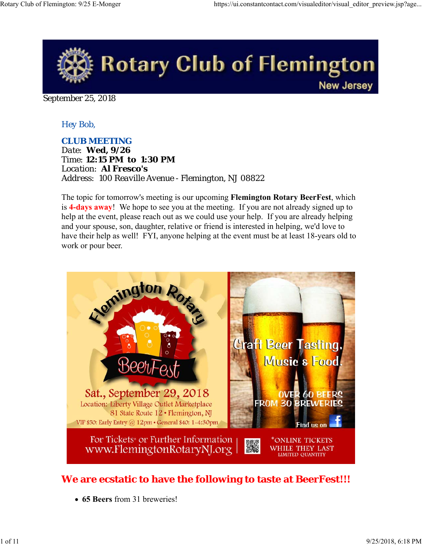

September 25, 2018

## *Hey Bob,*

*CLUB MEETING*

*Date: Wed, 9/26 Time: 12:15 PM to 1:30 PM Location: Al Fresco's Address: 100 Reaville Avenue - Flemington, NJ 08822*

The topic for tomorrow's meeting is our upcoming **Flemington Rotary BeerFest**, which is **4-days away**! We hope to see you at the meeting. If you are not already signed up to help at the event, please reach out as we could use your help. If you are already helping and your spouse, son, daughter, relative or friend is interested in helping, we'd love to have their help as well! FYI, anyone helping at the event must be at least 18-years old to work or pour beer.



## **We are ecstatic to have the following to taste at BeerFest!!!**

**65 Beers** from 31 breweries!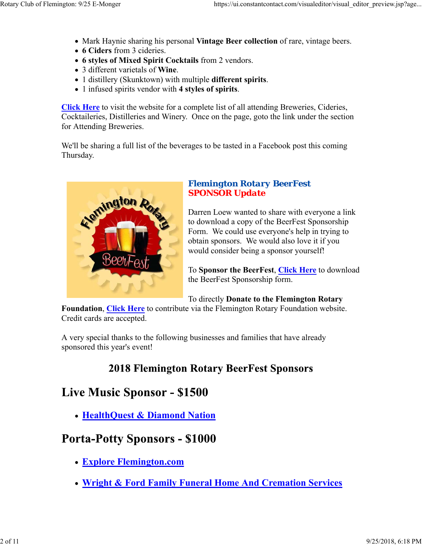- Mark Haynie sharing his personal **Vintage Beer collection** of rare, vintage beers.
- **6 Ciders** from 3 cideries.
- **6 styles of Mixed Spirit Cocktails** from 2 vendors.
- 3 different varietals of **Wine**.
- 1 distillery (Skunktown) with multiple **different spirits**.
- 1 infused spirits vendor with **4 styles of spirits**.

**Click Here** to visit the website for a complete list of all attending Breweries, Cideries, Cocktaileries, Distilleries and Winery. Once on the page, goto the link under the section for Attending Breweries.

We'll be sharing a full list of the beverages to be tasted in a Facebook post this coming Thursday.



### *Flemington Rotary BeerFest SPONSOR Update*

Darren Loew wanted to share with everyone a link to download a copy of the BeerFest Sponsorship Form. We could use everyone's help in trying to obtain sponsors. We would also love it if you would consider being a sponsor yourself!

To **Sponsor the BeerFest**, **Click Here** to download the BeerFest Sponsorship form.

To directly **Donate to the Flemington Rotary**

**Foundation**, **Click Here** to contribute via the Flemington Rotary Foundation website. Credit cards are accepted.

A very special thanks to the following businesses and families that have already sponsored this year's event!

# **2018 Flemington Rotary BeerFest Sponsors**

# **Live Music Sponsor - \$1500**

**HealthQuest & Diamond Nation**

# **Porta-Potty Sponsors - \$1000**

- **Explore Flemington.com**
- **Wright & Ford Family Funeral Home And Cremation Services**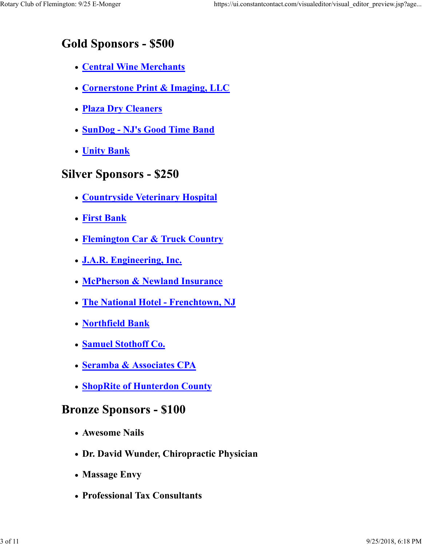# **Gold Sponsors - \$500**

- **Central Wine Merchants**
- **Cornerstone Print & Imaging, LLC**
- **Plaza Dry Cleaners**
- **SunDog NJ's Good Time Band**
- **Unity Bank**

# **Silver Sponsors - \$250**

- **Countryside Veterinary Hospital**
- **First Bank**
- **Flemington Car & Truck Country**
- **J.A.R. Engineering, Inc.**
- **McPherson & Newland Insurance**
- **The National Hotel Frenchtown, NJ**
- **Northfield Bank**
- **Samuel Stothoff Co.**
- **Seramba & Associates CPA**
- **ShopRite of Hunterdon County**

# **Bronze Sponsors - \$100**

- **Awesome Nails**
- **Dr. David Wunder, Chiropractic Physician**
- **Massage Envy**
- **Professional Tax Consultants**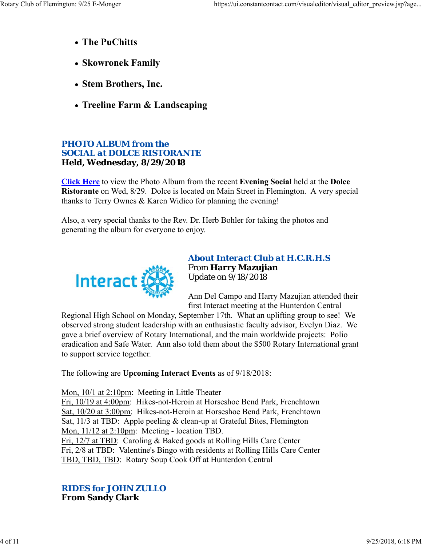- **The PuChitts**
- **Skowronek Family**
- **Stem Brothers, Inc.**
- **Treeline Farm & Landscaping**

## *PHOTO ALBUM from the SOCIAL at DOLCE RISTORANTE* **Held, Wednesday, 8/29/2018**

**Click Here** to view the Photo Album from the recent **Evening Social** held at the **Dolce Ristorante** on Wed, 8/29. Dolce is located on Main Street in Flemington. A very special thanks to Terry Ownes & Karen Widico for planning the evening!

Also, a very special thanks to the Rev. Dr. Herb Bohler for taking the photos and generating the album for everyone to enjoy.



### *About Interact Club at H.C.R.H.S* From **Harry Mazujian** Update on 9/18/2018

Ann Del Campo and Harry Mazujian attended their first Interact meeting at the Hunterdon Central

Regional High School on Monday, September 17th. What an uplifting group to see! We observed strong student leadership with an enthusiastic faculty advisor, Evelyn Diaz. We gave a brief overview of Rotary International, and the main worldwide projects: Polio eradication and Safe Water. Ann also told them about the \$500 Rotary International grant to support service together.

The following are **Upcoming Interact Events** as of 9/18/2018:

Mon, 10/1 at 2:10pm: Meeting in Little Theater

Fri, 10/19 at 4:00pm: Hikes-not-Heroin at Horseshoe Bend Park, Frenchtown Sat, 10/20 at 3:00pm: Hikes-not-Heroin at Horseshoe Bend Park, Frenchtown Sat, 11/3 at TBD: Apple peeling & clean-up at Grateful Bites, Flemington Mon, 11/12 at 2:10pm: Meeting - location TBD. Fri, 12/7 at TBD: Caroling & Baked goods at Rolling Hills Care Center Fri, 2/8 at TBD: Valentine's Bingo with residents at Rolling Hills Care Center TBD, TBD, TBD: Rotary Soup Cook Off at Hunterdon Central

### *RIDES for JOHN ZULLO* **From Sandy Clark**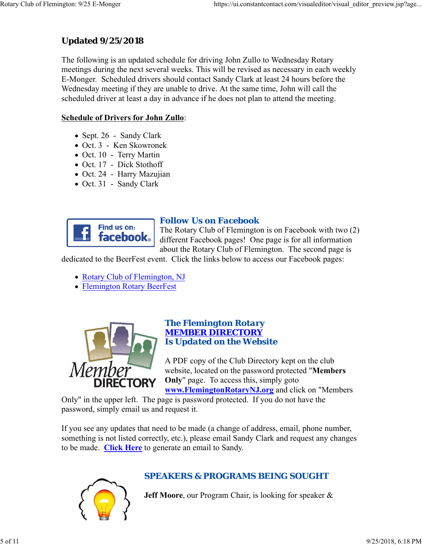## **Updated 9/25/2018**

The following is an updated schedule for driving John Zullo to Wednesday Rotary meetings during the next several weeks. This will be revised as necessary in each weekly E-Monger. Scheduled drivers should contact Sandy Clark at least 24 hours before the Wednesday meeting if they are unable to drive. At the same time, John will call the scheduled driver at least a day in advance if he does not plan to attend the meeting.

### **Schedule of Drivers for John Zullo**:

- Sept. 26 Sandy Clark
- Oct. 3 Ken Skowronek
- Oct. 10 Terry Martin
- Oct. 17 Dick Stothoff
- Oct. 24 Harry Mazujian
- Oct. 31 Sandy Clark



## *Follow Us on Facebook*

The Rotary Club of Flemington is on Facebook with two (2) different Facebook pages! One page is for all information about the Rotary Club of Flemington. The second page is

dedicated to the BeerFest event. Click the links below to access our Facebook pages:

- Rotary Club of Flemington, NJ
- Flemington Rotary BeerFest



### *The Flemington Rotary MEMBER DIRECTORY Is Updated on the Website*

A PDF copy of the Club Directory kept on the club website, located on the password protected "**Members Only**" page. To access this, simply goto **www.FlemingtonRotaryNJ.org** and click on "Members

Only" in the upper left. The page is password protected. If you do not have the password, simply email us and request it.

If you see any updates that need to be made (a change of address, email, phone number, something is not listed correctly, etc.), please email Sandy Clark and request any changes to be made. **Click Here** to generate an email to Sandy.



## *SPEAKERS & PROGRAMS BEING SOUGHT*

**Jeff Moore**, our Program Chair, is looking for speaker &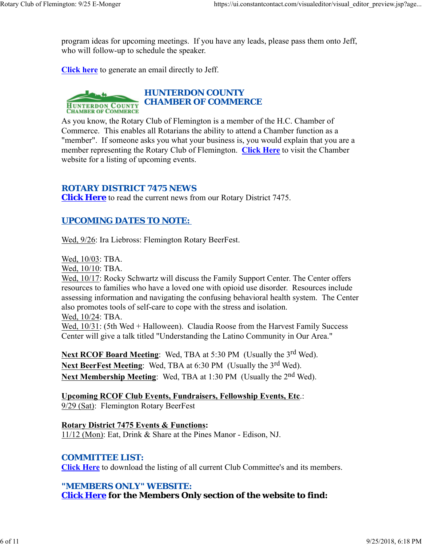program ideas for upcoming meetings. If you have any leads, please pass them onto Jeff, who will follow-up to schedule the speaker.

**Click here** to generate an email directly to Jeff.



As you know, the Rotary Club of Flemington is a member of the H.C. Chamber of Commerce. This enables all Rotarians the ability to attend a Chamber function as a "member". If someone asks you what your business is, you would explain that you are a member representing the Rotary Club of Flemington. **Click Here** to visit the Chamber website for a listing of upcoming events.

#### *ROTARY DISTRICT 7475 NEWS*

**Click Here** to read the current news from our Rotary District 7475.

#### *UPCOMING DATES TO NOTE:*

Wed, 9/26: Ira Liebross: Flemington Rotary BeerFest.

Wed, 10/03: TBA.

Wed, 10/10: TBA.

Wed, 10/17: Rocky Schwartz will discuss the Family Support Center. The Center offers resources to families who have a loved one with opioid use disorder. Resources include assessing information and navigating the confusing behavioral health system. The Center also promotes tools of self-care to cope with the stress and isolation. Wed, 10/24: TBA.

Wed,  $10/31$ : (5th Wed + Halloween). Claudia Roose from the Harvest Family Success Center will give a talk titled "Understanding the Latino Community in Our Area."

**Next RCOF Board Meeting:** Wed, TBA at 5:30 PM (Usually the 3<sup>rd</sup> Wed). Next BeerFest Meeting: Wed, TBA at 6:30 PM (Usually the 3<sup>rd</sup> Wed). **Next Membership Meeting:** Wed, TBA at 1:30 PM (Usually the 2<sup>nd</sup> Wed).

**Upcoming RCOF Club Events, Fundraisers, Fellowship Events, Etc**.: 9/29 (Sat): Flemington Rotary BeerFest

**Rotary District 7475 Events & Functions:** 11/12 (Mon): Eat, Drink & Share at the Pines Manor - Edison, NJ.

#### *COMMITTEE LIST:*

**Click Here** to download the listing of all current Club Committee's and its members.

#### *"MEMBERS ONLY" WEBSITE:*

**Click Here for the Members Only section of the website to find:**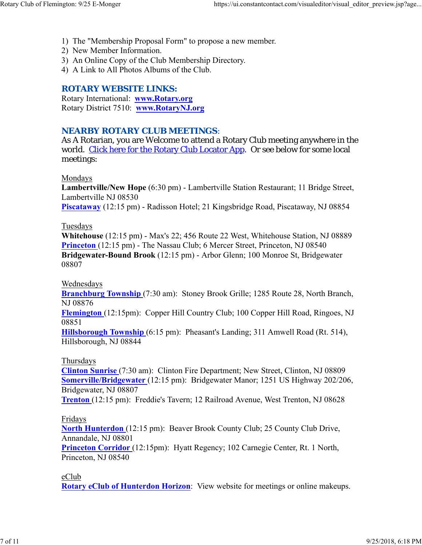- 1) The "Membership Proposal Form" to propose a new member.
- 2) New Member Information.
- 3) An Online Copy of the Club Membership Directory.
- 4) A Link to All Photos Albums of the Club.

### *ROTARY WEBSITE LINKS:*

Rotary International: **www.Rotary.org** Rotary District 7510: **www.RotaryNJ.org**

### *NEARBY ROTARY CLUB MEETINGS:*

As A Rotarian, you are Welcome to attend a Rotary Club meeting anywhere in the world. Click here for the Rotary Club Locator App. Or see below for some local meetings:

#### Mondays

**Lambertville/New Hope** (6:30 pm) - Lambertville Station Restaurant; 11 Bridge Street, Lambertville NJ 08530 **Piscataway** (12:15 pm) - Radisson Hotel; 21 Kingsbridge Road, Piscataway, NJ 08854

#### Tuesdays

**Whitehouse** (12:15 pm) - Max's 22; 456 Route 22 West, Whitehouse Station, NJ 08889 **Princeton** (12:15 pm) - The Nassau Club; 6 Mercer Street, Princeton, NJ 08540 **Bridgewater-Bound Brook** (12:15 pm) - Arbor Glenn; 100 Monroe St, Bridgewater 08807

Wednesdays

**Branchburg Township** (7:30 am): Stoney Brook Grille; 1285 Route 28, North Branch, NJ 08876

**Flemington** (12:15pm): Copper Hill Country Club; 100 Copper Hill Road, Ringoes, NJ 08851

**Hillsborough Township** (6:15 pm): Pheasant's Landing; 311 Amwell Road (Rt. 514), Hillsborough, NJ 08844

#### Thursdays

**Clinton Sunrise** (7:30 am): Clinton Fire Department; New Street, Clinton, NJ 08809 **Somerville/Bridgewater** (12:15 pm): Bridgewater Manor; 1251 US Highway 202/206, Bridgewater, NJ 08807

**Trenton** (12:15 pm): Freddie's Tavern; 12 Railroad Avenue, West Trenton, NJ 08628

#### Fridays

**North Hunterdon** (12:15 pm): Beaver Brook County Club; 25 County Club Drive, Annandale, NJ 08801

**Princeton Corridor** (12:15pm): Hyatt Regency; 102 Carnegie Center, Rt. 1 North, Princeton, NJ 08540

eClub

**Rotary eClub of Hunterdon Horizon**: View website for meetings or online makeups.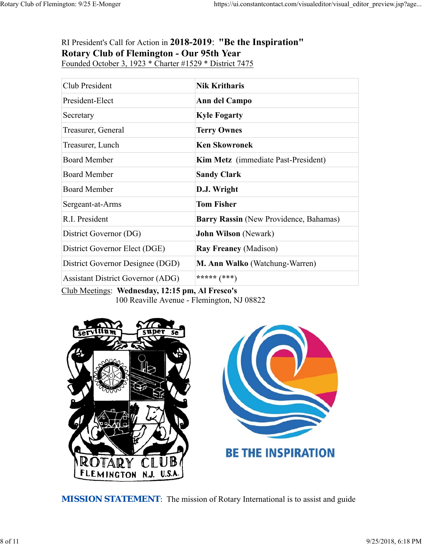## RI President's Call for Action in **2018-2019**: **"Be the Inspiration" Rotary Club of Flemington - Our 95th Year** Founded October 3, 1923 \* Charter #1529 \* District 7475

| Club President                           | <b>Nik Kritharis</b>                       |
|------------------------------------------|--------------------------------------------|
| President-Elect                          | Ann del Campo                              |
| Secretary                                | <b>Kyle Fogarty</b>                        |
| Treasurer, General                       | <b>Terry Ownes</b>                         |
| Treasurer, Lunch                         | <b>Ken Skowronek</b>                       |
| <b>Board Member</b>                      | <b>Kim Metz</b> (immediate Past-President) |
| <b>Board Member</b>                      | <b>Sandy Clark</b>                         |
| <b>Board Member</b>                      | D.J. Wright                                |
| Sergeant-at-Arms                         | <b>Tom Fisher</b>                          |
| R.I. President                           | Barry Rassin (New Providence, Bahamas)     |
| District Governor (DG)                   | <b>John Wilson</b> (Newark)                |
| District Governor Elect (DGE)            | <b>Ray Freaney (Madison)</b>               |
| District Governor Designee (DGD)         | M. Ann Walko (Watchung-Warren)             |
| <b>Assistant District Governor (ADG)</b> | ***** $(***)$                              |

Club Meetings: **Wednesday, 12:15 pm, Al Fresco's** 100 Reaville Avenue - Flemington, NJ 08822



**MISSION STATEMENT:** The mission of Rotary International is to assist and guide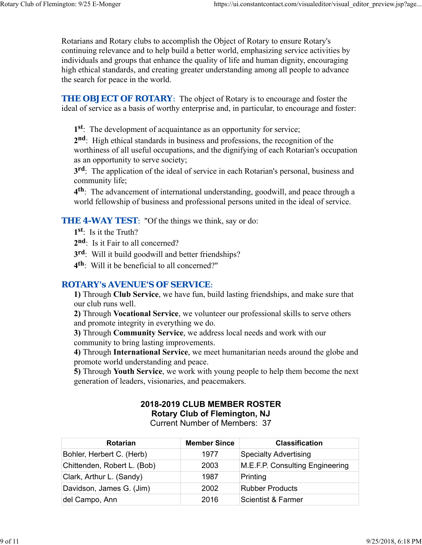Rotarians and Rotary clubs to accomplish the Object of Rotary to ensure Rotary's continuing relevance and to help build a better world, emphasizing service activities by individuals and groups that enhance the quality of life and human dignity, encouraging high ethical standards, and creating greater understanding among all people to advance the search for peace in the world.

**THE OBJECT OF ROTARY:** The object of Rotary is to encourage and foster the ideal of service as a basis of worthy enterprise and, in particular, to encourage and foster:

**1st**: The development of acquaintance as an opportunity for service;

**2nd**: High ethical standards in business and professions, the recognition of the worthiness of all useful occupations, and the dignifying of each Rotarian's occupation as an opportunity to serve society;

**3rd**: The application of the ideal of service in each Rotarian's personal, business and community life;

**4th**: The advancement of international understanding, goodwill, and peace through a world fellowship of business and professional persons united in the ideal of service.

**THE 4-WAY TEST:** "Of the things we think, say or do:

**1st**: Is it the Truth?

- 2<sup>nd</sup>: Is it Fair to all concerned?
- **3rd**: Will it build goodwill and better friendships?
- **4th**: Will it be beneficial to all concerned?"

#### *ROTARY's AVENUE'S OF SERVICE*:

**1)** Through **Club Service**, we have fun, build lasting friendships, and make sure that our club runs well.

**2)** Through **Vocational Service**, we volunteer our professional skills to serve others and promote integrity in everything we do.

**3)** Through **Community Service**, we address local needs and work with our community to bring lasting improvements.

**4)** Through **International Service**, we meet humanitarian needs around the globe and promote world understanding and peace.

**5)** Through **Youth Service**, we work with young people to help them become the next generation of leaders, visionaries, and peacemakers.

## **2018-2019 CLUB MEMBER ROSTER Rotary Club of Flemington, NJ**

Current Number of Members: 37

| <b>Rotarian</b>             | <b>Member Since</b> | <b>Classification</b>           |
|-----------------------------|---------------------|---------------------------------|
| Bohler, Herbert C. (Herb)   | 1977                | <b>Specialty Advertising</b>    |
| Chittenden, Robert L. (Bob) | 2003                | M.E.F.P. Consulting Engineering |
| Clark, Arthur L. (Sandy)    | 1987                | Printing                        |
| Davidson, James G. (Jim)    | 2002                | <b>Rubber Products</b>          |
| del Campo, Ann              | 2016                | <b>Scientist &amp; Farmer</b>   |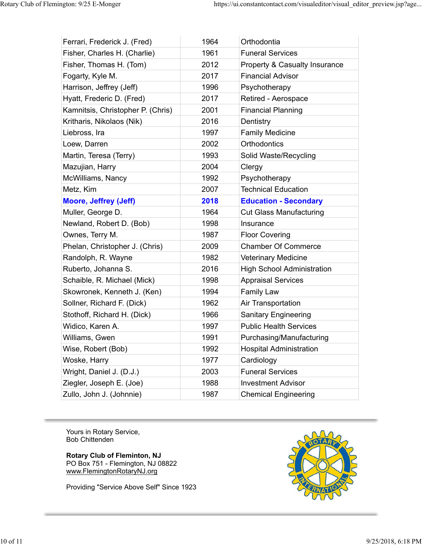| Ferrari, Frederick J. (Fred)      | 1964 | Orthodontia                              |
|-----------------------------------|------|------------------------------------------|
| Fisher, Charles H. (Charlie)      | 1961 | <b>Funeral Services</b>                  |
| Fisher, Thomas H. (Tom)           | 2012 | <b>Property &amp; Casualty Insurance</b> |
| Fogarty, Kyle M.                  | 2017 | <b>Financial Advisor</b>                 |
| Harrison, Jeffrey (Jeff)          | 1996 | Psychotherapy                            |
| Hyatt, Frederic D. (Fred)         | 2017 | Retired - Aerospace                      |
| Kamnitsis, Christopher P. (Chris) | 2001 | <b>Financial Planning</b>                |
| Kritharis, Nikolaos (Nik)         | 2016 | Dentistry                                |
| Liebross, Ira                     | 1997 | <b>Family Medicine</b>                   |
| Loew, Darren                      | 2002 | Orthodontics                             |
| Martin, Teresa (Terry)            | 1993 | Solid Waste/Recycling                    |
| Mazujian, Harry                   | 2004 | Clergy                                   |
| McWilliams, Nancy                 | 1992 | Psychotherapy                            |
| Metz, Kim                         | 2007 | <b>Technical Education</b>               |
| <b>Moore, Jeffrey (Jeff)</b>      | 2018 | <b>Education - Secondary</b>             |
| Muller, George D.                 | 1964 | <b>Cut Glass Manufacturing</b>           |
| Newland, Robert D. (Bob)          | 1998 | Insurance                                |
| Ownes, Terry M.                   | 1987 | <b>Floor Covering</b>                    |
| Phelan, Christopher J. (Chris)    | 2009 | <b>Chamber Of Commerce</b>               |
| Randolph, R. Wayne                | 1982 | <b>Veterinary Medicine</b>               |
| Ruberto, Johanna S.               | 2016 | <b>High School Administration</b>        |
| Schaible, R. Michael (Mick)       | 1998 | <b>Appraisal Services</b>                |
| Skowronek, Kenneth J. (Ken)       | 1994 | <b>Family Law</b>                        |
| Sollner, Richard F. (Dick)        | 1962 | Air Transportation                       |
| Stothoff, Richard H. (Dick)       | 1966 | <b>Sanitary Engineering</b>              |
| Widico, Karen A.                  | 1997 | <b>Public Health Services</b>            |
| Williams, Gwen                    | 1991 | Purchasing/Manufacturing                 |
| Wise, Robert (Bob)                | 1992 | <b>Hospital Administration</b>           |
| Woske, Harry                      | 1977 | Cardiology                               |
| Wright, Daniel J. (D.J.)          | 2003 | <b>Funeral Services</b>                  |
| Ziegler, Joseph E. (Joe)          | 1988 | <b>Investment Advisor</b>                |
| Zullo, John J. (Johnnie)          | 1987 | <b>Chemical Engineering</b>              |

Yours in Rotary Service, Bob Chittenden

#### **Rotary Club of Fleminton, NJ**

PO Box 751 - Flemington, NJ 08822 www.FlemingtonRotaryNJ.org

Providing "Service Above Self" Since 1923